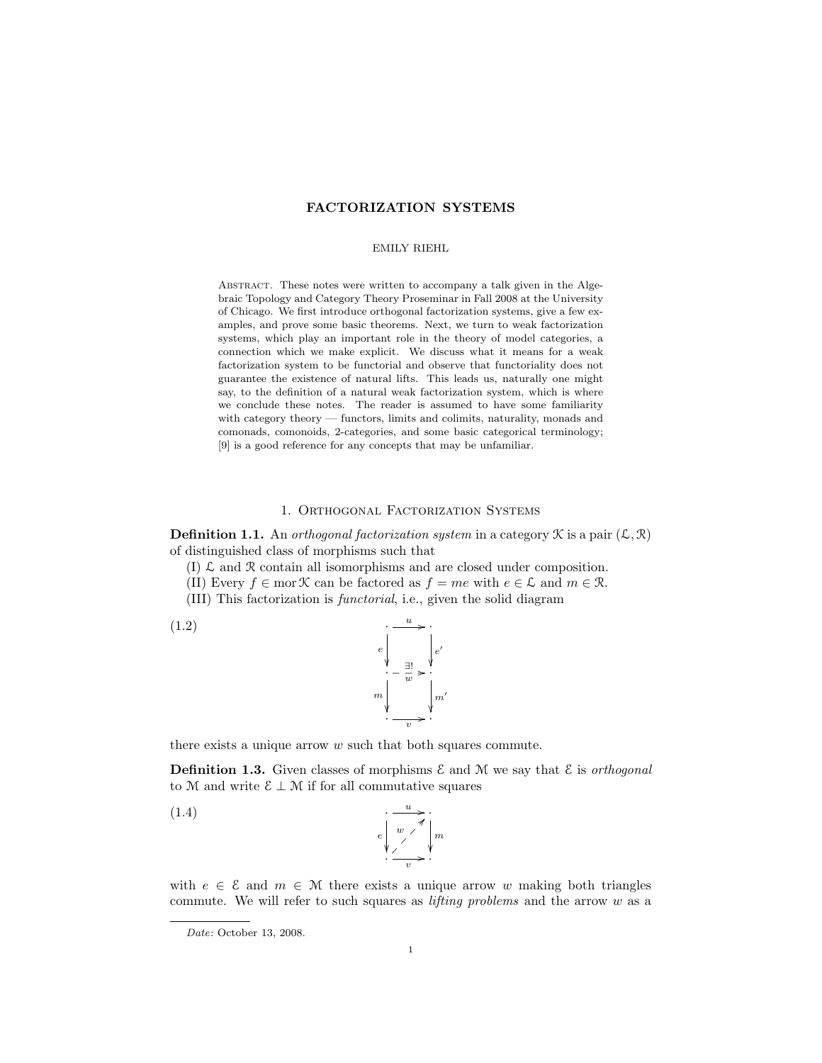## FACTORIZATION SYSTEMS

#### EMILY RIEHL

ABSTRACT. These notes were written to accompany a talk given in the Algebraic Topology and Category Theory Proseminar in Fall 2008 at the University of Chicago. We first introduce orthogonal factorization systems, give a few examples, and prove some basic theorems. Next, we turn to weak factorization systems, which play an important role in the theory of model categories, a connection which we make explicit. We discuss what it means for a weak factorization system to be functorial and observe that functoriality does not guarantee the existence of natural lifts. This leads us, naturally one might say, to the definition of a natural weak factorization system, which is where we conclude these notes. The reader is assumed to have some familiarity with category theory — functors, limits and colimits, naturality, monads and comonads, comonoids, 2-categories, and some basic categorical terminology; [9] is a good reference for any concepts that may be unfamiliar.

# 1. Orthogonal Factorization Systems

**Definition 1.1.** An *orthogonal factorization system* in a category  $\mathcal{K}$  is a pair  $(\mathcal{L}, \mathcal{R})$ of distinguished class of morphisms such that

- $(I)$   $\mathcal L$  and  $\mathcal R$  contain all isomorphisms and are closed under composition.
- (II) Every  $f \in \text{mor } \mathcal{K}$  can be factored as  $f = me$  with  $e \in \mathcal{L}$  and  $m \in \mathcal{R}$ .
- (III) This factorization is functorial, i.e., given the solid diagram



there exists a unique arrow  $w$  such that both squares commute.

**Definition 1.3.** Given classes of morphisms  $\mathcal{E}$  and  $\mathcal{M}$  we say that  $\mathcal{E}$  is *orthogonal* to M and write  $\mathcal{E} \perp \mathcal{M}$  if for all commutative squares

$$
(1.4)
$$

 $(1.2)$ 



with  $e \in \mathcal{E}$  and  $m \in \mathcal{M}$  there exists a unique arrow w making both triangles commute. We will refer to such squares as *lifting problems* and the arrow  $w$  as a

Date: October 13, 2008.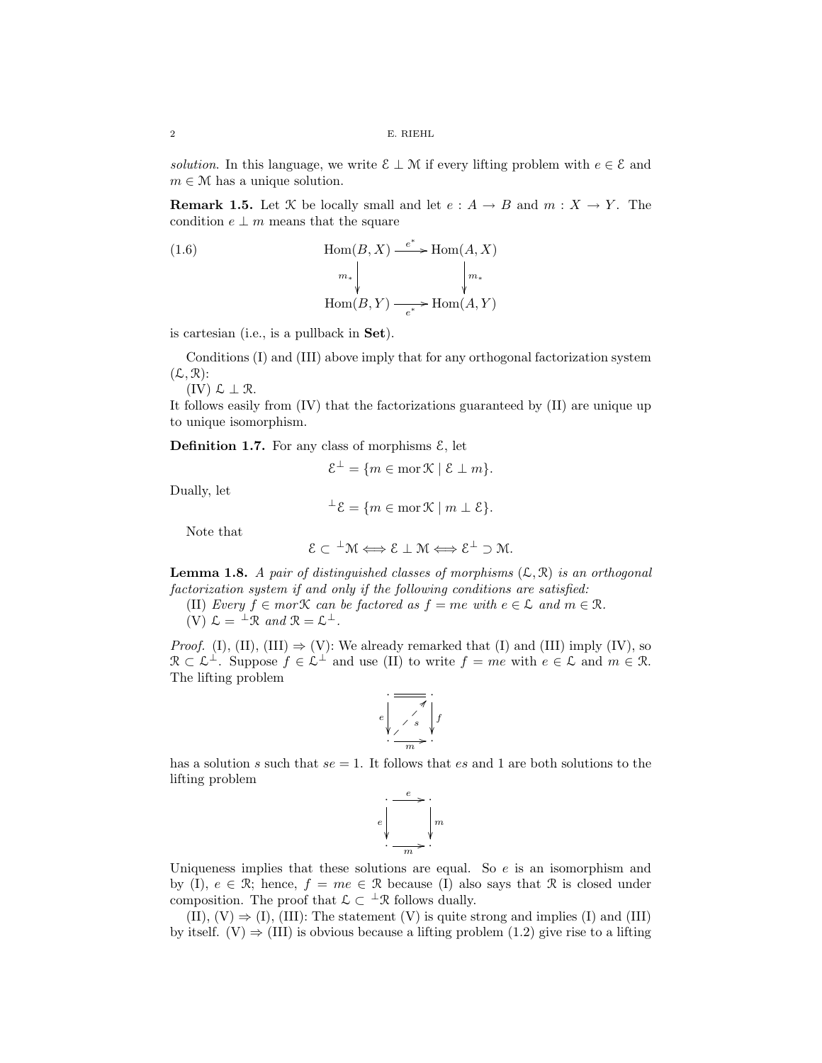solution. In this language, we write  $\mathcal{E} \perp \mathcal{M}$  if every lifting problem with  $e \in \mathcal{E}$  and  $m \in \mathcal{M}$  has a unique solution.

**Remark 1.5.** Let  $\mathcal{K}$  be locally small and let  $e : A \rightarrow B$  and  $m : X \rightarrow Y$ . The condition  $e \perp m$  means that the square

(1.6) 
$$
\operatorname{Hom}(B, X) \xrightarrow{e^*} \operatorname{Hom}(A, X)
$$

$$
m_* \downarrow \qquad \qquad \downarrow m_*
$$

$$
\operatorname{Hom}(B, Y) \xrightarrow{e^*} \operatorname{Hom}(A, Y)
$$

is cartesian (i.e., is a pullback in Set).

Conditions (I) and (III) above imply that for any orthogonal factorization system  $(\mathcal{L}, \mathcal{R})$ :

 $(IV)$   $\mathcal{L} \perp \mathcal{R}$ .

It follows easily from (IV) that the factorizations guaranteed by (II) are unique up to unique isomorphism.

**Definition 1.7.** For any class of morphisms  $\mathcal{E}$ , let

$$
\mathcal{E}^{\perp} = \{ m \in \text{mor } \mathcal{K} \mid \mathcal{E} \perp m \}.
$$

Dually, let

$$
\perp \mathcal{E} = \{ m \in \text{mor}\,\mathcal{K} \mid m \perp \mathcal{E} \}.
$$

Note that

$$
\mathcal{E}\subset {}^\perp\mathfrak{M}\Longleftrightarrow \mathcal{E}\perp \mathfrak{M}\Longleftrightarrow \mathcal{E}^\perp\supset \mathfrak{M}.
$$

**Lemma 1.8.** A pair of distinguished classes of morphisms  $(L, \mathcal{R})$  is an orthogonal factorization system if and only if the following conditions are satisfied:

(II) Every  $f \in mor\mathcal{K}$  can be factored as  $f = me$  with  $e \in \mathcal{L}$  and  $m \in \mathcal{R}$ .

(V)  $\mathcal{L} = {}^{\perp} \mathcal{R}$  and  $\mathcal{R} = \mathcal{L}^{\perp}$ .

*Proof.* (I), (II), (III)  $\Rightarrow$  (V): We already remarked that (I) and (III) imply (IV), so  $\mathcal{R} \subset \mathcal{L}^{\perp}$ . Suppose  $f \in \mathcal{L}^{\perp}$  and use (II) to write  $f = me$  with  $e \in \mathcal{L}$  and  $m \in \mathcal{R}$ . The lifting problem

$$
\begin{array}{c}\n\cdot \quad \overline{\quad \quad \mathcal{A}} \\
\hline\n\end{array}\n\qquad \qquad \begin{array}{c}\n\downarrow \\
\downarrow \\
\downarrow \\
\hline\n\end{array}\n\qquad \qquad \begin{array}{c}\n\downarrow \\
\downarrow \\
\downarrow \\
\hline\n\end{array}
$$

has a solution s such that  $se = 1$ . It follows that es and 1 are both solutions to the lifting problem



Uniqueness implies that these solutions are equal. So  $e$  is an isomorphism and by (I),  $e \in \mathcal{R}$ ; hence,  $f = me \in \mathcal{R}$  because (I) also says that  $\mathcal{R}$  is closed under composition. The proof that  $\mathcal{L} \subset {}^{\perp} \mathcal{R}$  follows dually.

 $(II), (V) \Rightarrow (I), (III)$ : The statement  $(V)$  is quite strong and implies  $(I)$  and  $(III)$ by itself. (V)  $\Rightarrow$  (III) is obvious because a lifting problem (1.2) give rise to a lifting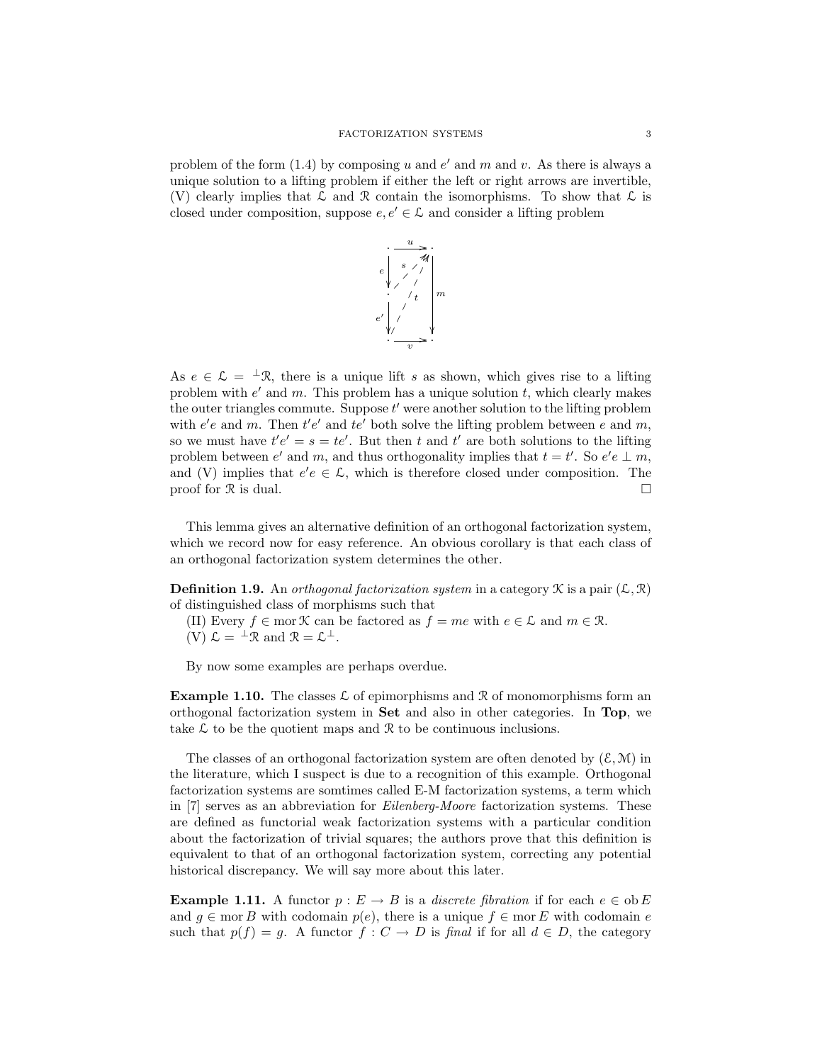problem of the form  $(1.4)$  by composing u and e' and m and v. As there is always a unique solution to a lifting problem if either the left or right arrows are invertible, (V) clearly implies that  $\mathcal L$  and  $\mathcal R$  contain the isomorphisms. To show that  $\mathcal L$  is closed under composition, suppose  $e, e' \in \mathcal{L}$  and consider a lifting problem



As  $e \in \mathcal{L} = {}^{\perp} \mathcal{R}$ , there is a unique lift s as shown, which gives rise to a lifting problem with  $e'$  and  $m$ . This problem has a unique solution  $t$ , which clearly makes the outer triangles commute. Suppose  $t'$  were another solution to the lifting problem with  $e'e$  and m. Then  $t'e'$  and  $te'$  both solve the lifting problem between e and m, so we must have  $t'e' = s = te'$ . But then t and t' are both solutions to the lifting problem between  $e'$  and  $m$ , and thus orthogonality implies that  $t = t'$ . So  $e'e \perp m$ , and (V) implies that  $e'e \in \mathcal{L}$ , which is therefore closed under composition. The proof for R is dual.

This lemma gives an alternative definition of an orthogonal factorization system, which we record now for easy reference. An obvious corollary is that each class of an orthogonal factorization system determines the other.

**Definition 1.9.** An *orthogonal factorization system* in a category  $\mathcal{K}$  is a pair  $(\mathcal{L}, \mathcal{R})$ of distinguished class of morphisms such that

- (II) Every  $f \in \text{mor } \mathcal{K}$  can be factored as  $f = me$  with  $e \in \mathcal{L}$  and  $m \in \mathcal{R}$ .
- (V)  $\mathcal{L} = {}^{\perp} \mathcal{R}$  and  $\mathcal{R} = \mathcal{L}^{\perp}$ .

By now some examples are perhaps overdue.

**Example 1.10.** The classes  $\mathcal{L}$  of epimorphisms and  $\mathcal{R}$  of monomorphisms form an orthogonal factorization system in Set and also in other categories. In Top, we take  $\mathcal L$  to be the quotient maps and  $\mathcal R$  to be continuous inclusions.

The classes of an orthogonal factorization system are often denoted by  $(\mathcal{E}, \mathcal{M})$  in the literature, which I suspect is due to a recognition of this example. Orthogonal factorization systems are somtimes called E-M factorization systems, a term which in [7] serves as an abbreviation for Eilenberg-Moore factorization systems. These are defined as functorial weak factorization systems with a particular condition about the factorization of trivial squares; the authors prove that this definition is equivalent to that of an orthogonal factorization system, correcting any potential historical discrepancy. We will say more about this later.

**Example 1.11.** A functor  $p : E \to B$  is a *discrete fibration* if for each  $e \in ob E$ and  $g \in \text{mor } B$  with codomain  $p(e)$ , there is a unique  $f \in \text{mor } E$  with codomain e such that  $p(f) = g$ . A functor  $f : C \to D$  is final if for all  $d \in D$ , the category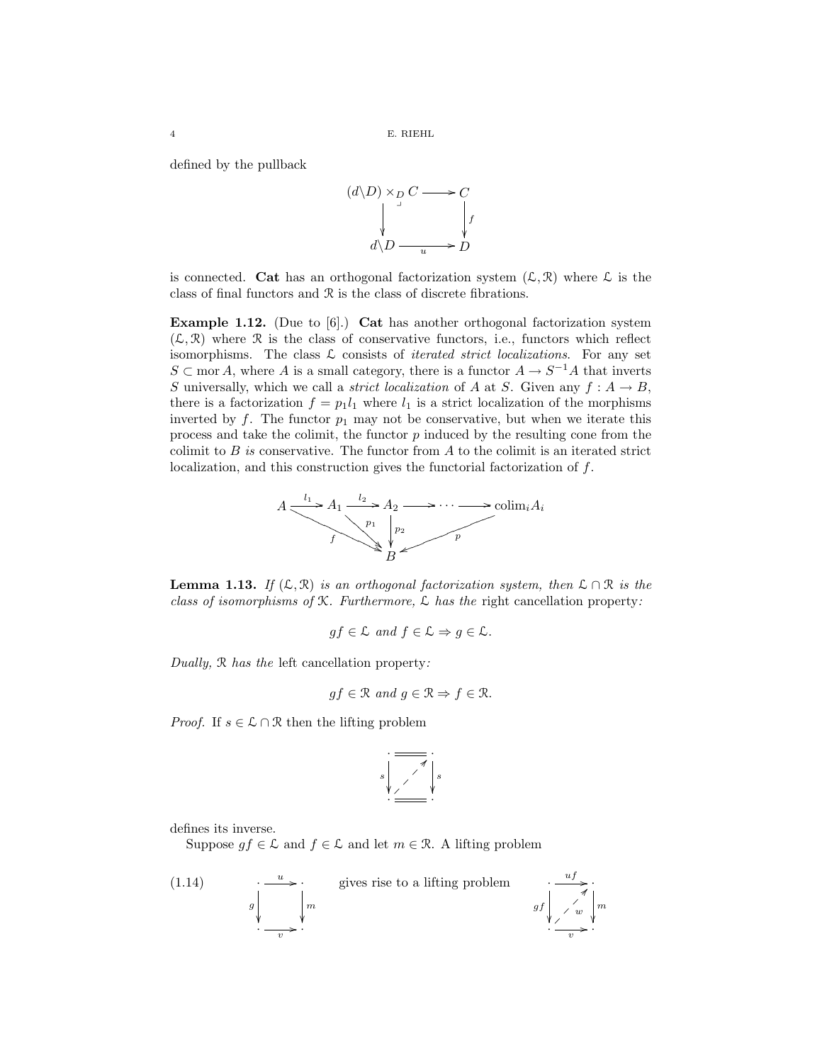defined by the pullback



is connected. Cat has an orthogonal factorization system  $(\mathcal{L}, \mathcal{R})$  where  $\mathcal L$  is the class of final functors and  $\Re$  is the class of discrete fibrations.

**Example 1.12.** (Due to  $[6]$ .) **Cat** has another orthogonal factorization system  $(\mathcal{L}, \mathcal{R})$  where  $\mathcal{R}$  is the class of conservative functors, i.e., functors which reflect isomorphisms. The class  $\mathcal L$  consists of *iterated strict localizations*. For any set  $S \subset \text{mor } A$ , where A is a small category, there is a functor  $A \to S^{-1}A$  that inverts S universally, which we call a *strict localization* of A at S. Given any  $f : A \to B$ , there is a factorization  $f = p_1 l_1$  where  $l_1$  is a strict localization of the morphisms inverted by  $f$ . The functor  $p_1$  may not be conservative, but when we iterate this process and take the colimit, the functor  $p$  induced by the resulting cone from the colimit to  $B$  is conservative. The functor from  $A$  to the colimit is an iterated strict localization, and this construction gives the functorial factorization of f.



**Lemma 1.13.** If  $(L, \mathcal{R})$  is an orthogonal factorization system, then  $L \cap \mathcal{R}$  is the class of isomorphisms of  $K$ . Furthermore,  $\mathcal L$  has the right cancellation property:

$$
gf \in \mathcal{L}
$$
 and  $f \in \mathcal{L} \Rightarrow g \in \mathcal{L}$ .

Dually, R has the left cancellation property:

$$
gf \in \mathcal{R}
$$
 and  $g \in \mathcal{R} \Rightarrow f \in \mathcal{R}$ .

*Proof.* If  $s \in \mathcal{L} \cap \mathcal{R}$  then the lifting problem

$$
\begin{array}{c}\n\cdot & \overline{\phantom{0}} \\
\hline\n\end{array}
$$

defines its inverse.

Suppose  $gf \in \mathcal{L}$  and  $f \in \mathcal{L}$  and let  $m \in \mathcal{R}$ . A lifting problem

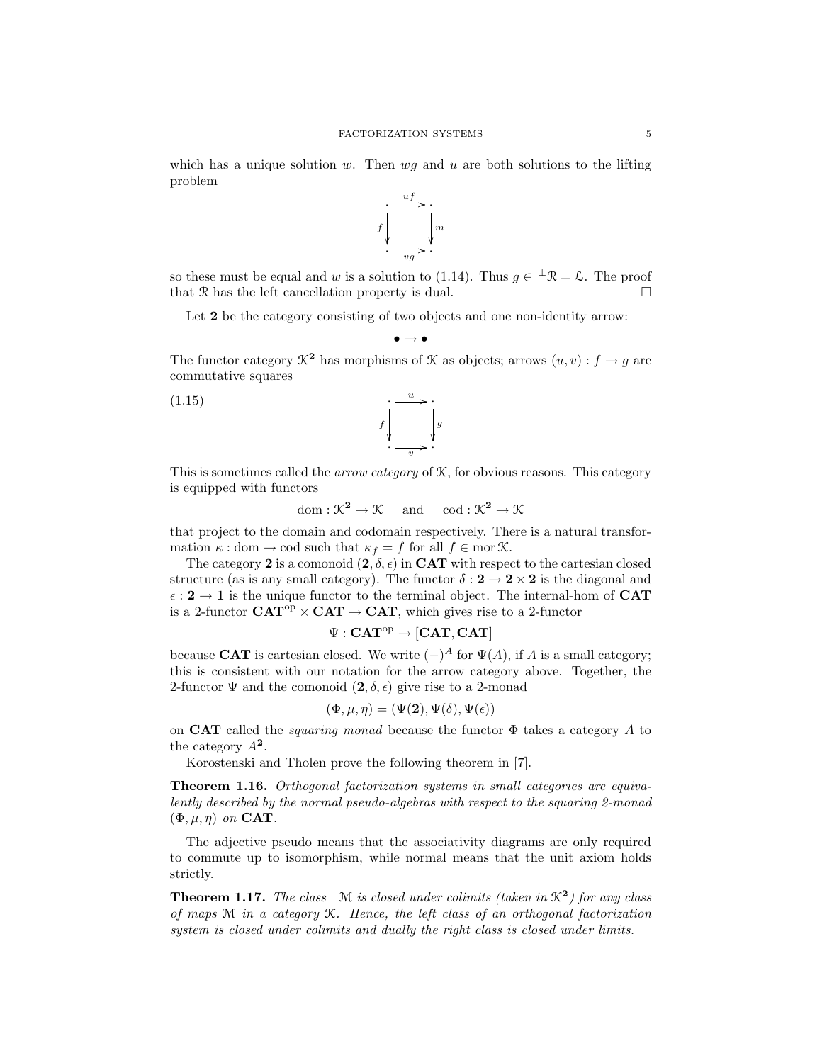which has a unique solution w. Then  $wq$  and u are both solutions to the lifting problem



so these must be equal and w is a solution to (1.14). Thus  $g \in {}^{\perp} \mathcal{R} = \mathcal{L}$ . The proof that R has the left cancellation property is dual.  $\square$ 

Let 2 be the category consisting of two objects and one non-identity arrow:

 $\bullet \rightarrow \bullet$ 

The functor category  $\mathcal{K}^2$  has morphisms of  $\mathcal K$  as objects; arrows  $(u, v) : f \to g$  are commutative squares



This is sometimes called the *arrow category* of  $\mathcal{K}$ , for obvious reasons. This category is equipped with functors

$$
dom: \mathcal{K}^2 \to \mathcal{K} \quad \text{and} \quad cod: \mathcal{K}^2 \to \mathcal{K}
$$

that project to the domain and codomain respectively. There is a natural transformation  $\kappa :$  dom  $\to$  cod such that  $\kappa_f = f$  for all  $f \in$  mor  $\mathcal{K}$ .

The category 2 is a comonoid  $(2, \delta, \epsilon)$  in **CAT** with respect to the cartesian closed structure (as is any small category). The functor  $\delta: 2 \to 2 \times 2$  is the diagonal and  $\epsilon : 2 \to 1$  is the unique functor to the terminal object. The internal-hom of **CAT** is a 2-functor  $CAT^{op} \times CAT \rightarrow CAT$ , which gives rise to a 2-functor

$$
\Psi : \mathbf{CAT}^\mathrm{op} \to [\mathbf{CAT}, \mathbf{CAT}]
$$

because **CAT** is cartesian closed. We write  $(-)^A$  for  $\Psi(A)$ , if A is a small category; this is consistent with our notation for the arrow category above. Together, the 2-functor  $\Psi$  and the comonoid  $(2, \delta, \epsilon)$  give rise to a 2-monad

$$
(\Phi, \mu, \eta) = (\Psi(2), \Psi(\delta), \Psi(\epsilon))
$$

on **CAT** called the *squaring monad* because the functor  $\Phi$  takes a category A to the category  $A^2$ .

Korostenski and Tholen prove the following theorem in [7].

Theorem 1.16. Orthogonal factorization systems in small categories are equivalently described by the normal pseudo-algebras with respect to the squaring 2-monad  $(\Phi, \mu, \eta)$  on **CAT**.

The adjective pseudo means that the associativity diagrams are only required to commute up to isomorphism, while normal means that the unit axiom holds strictly.

**Theorem 1.17.** The class  ${}^{\perp}\mathcal{M}$  is closed under colimits (taken in  $\mathcal{K}^2$ ) for any class of maps M in a category K. Hence, the left class of an orthogonal factorization system is closed under colimits and dually the right class is closed under limits.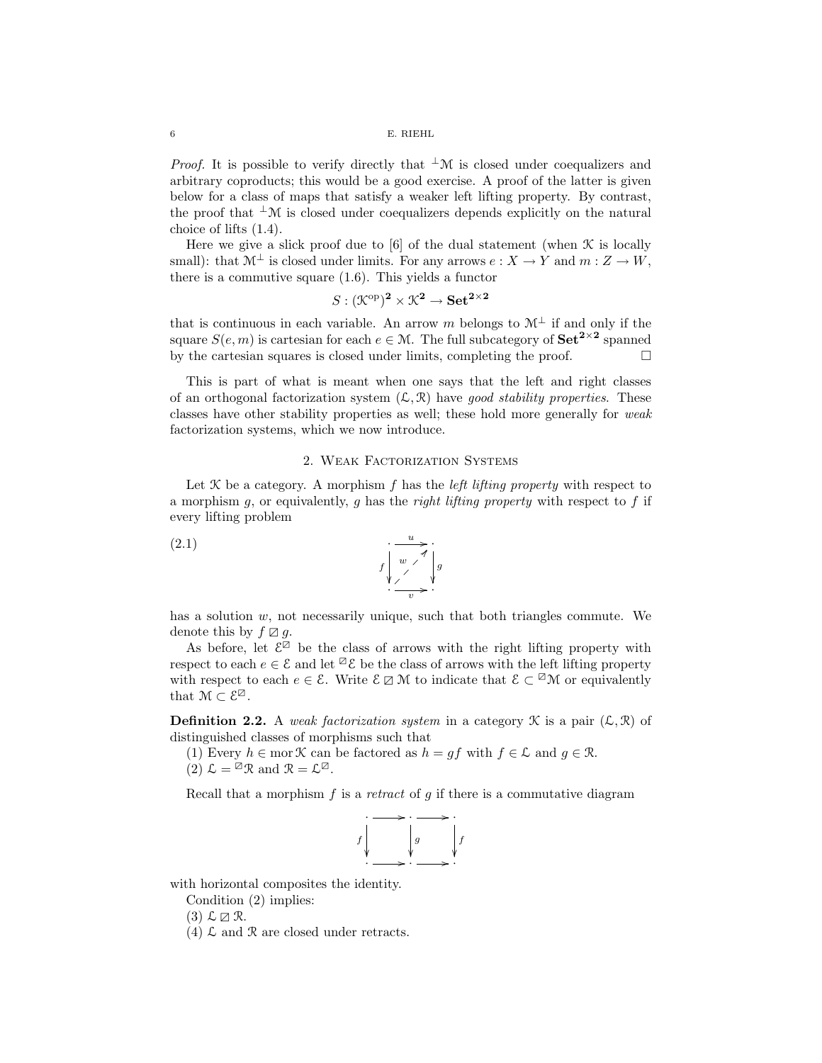*Proof.* It is possible to verify directly that  $\pm \mathcal{M}$  is closed under coequalizers and arbitrary coproducts; this would be a good exercise. A proof of the latter is given below for a class of maps that satisfy a weaker left lifting property. By contrast, the proof that  $\pm \mathcal{M}$  is closed under coequalizers depends explicitly on the natural choice of lifts (1.4).

Here we give a slick proof due to  $[6]$  of the dual statement (when  $\mathcal K$  is locally small): that  $\mathcal{M}^{\perp}$  is closed under limits. For any arrows  $e: X \to Y$  and  $m: Z \to W$ , there is a commutive square (1.6). This yields a functor

$$
S: (\mathcal{K}^{\mathrm{op}})^2 \times \mathcal{K}^2 \to \mathbf{Set}^{2 \times 2}
$$

that is continuous in each variable. An arrow m belongs to  $\mathcal{M}^{\perp}$  if and only if the square  $S(e, m)$  is cartesian for each  $e \in M$ . The full subcategory of  $\textbf{Set}^{2 \times 2}$  spanned by the cartesian squares is closed under limits, completing the proof.  $\Box$ 

This is part of what is meant when one says that the left and right classes of an orthogonal factorization system  $(\mathcal{L}, \mathcal{R})$  have good stability properties. These classes have other stability properties as well; these hold more generally for weak factorization systems, which we now introduce.

## 2. Weak Factorization Systems

Let  $K$  be a category. A morphism f has the *left lifting property* with respect to a morphism  $g$ , or equivalently,  $g$  has the *right lifting property* with respect to  $f$  if every lifting problem

$$
\begin{array}{ccc}\n & \cdot & \cdot & \cdot \\
 & & \downarrow & \cdot & \cdot \\
 & & \cdot & \cdot & \cdot \\
 & & \cdot & \cdot & \cdot \\
 & & & \cdot & \cdot\n\end{array}
$$

has a solution  $w$ , not necessarily unique, such that both triangles commute. We denote this by  $f \mathcal{Q} g$ .

As before, let  $\mathcal{E}^{\boxtimes}$  be the class of arrows with the right lifting property with respect to each  $e \in \mathcal{E}$  and let  $\mathbb{Z} \mathcal{E}$  be the class of arrows with the left lifting property with respect to each  $e \in \mathcal{E}$ . Write  $\mathcal{E} \boxtimes \mathcal{M}$  to indicate that  $\mathcal{E} \subset \mathcal{M}$  or equivalently that  $\mathcal{M} \subset \mathcal{E}^{\boxtimes}$ .

**Definition 2.2.** A weak factorization system in a category  $\mathcal{K}$  is a pair  $(\mathcal{L}, \mathcal{R})$  of distinguished classes of morphisms such that

(1) Every  $h \in \text{mor } \mathcal{K}$  can be factored as  $h = gf$  with  $f \in \mathcal{L}$  and  $g \in \mathcal{R}$ .

(2)  $\mathcal{L} = \mathbb{Z} \mathcal{R}$  and  $\mathcal{R} = \mathcal{L} \mathbb{Z}$ .

Recall that a morphism  $f$  is a retract of  $g$  if there is a commutative diagram



with horizontal composites the identity.

Condition (2) implies:

 $(3)$   $\mathcal{L} \boxtimes \mathcal{R}$ .

(4)  $\mathcal L$  and  $\mathcal R$  are closed under retracts.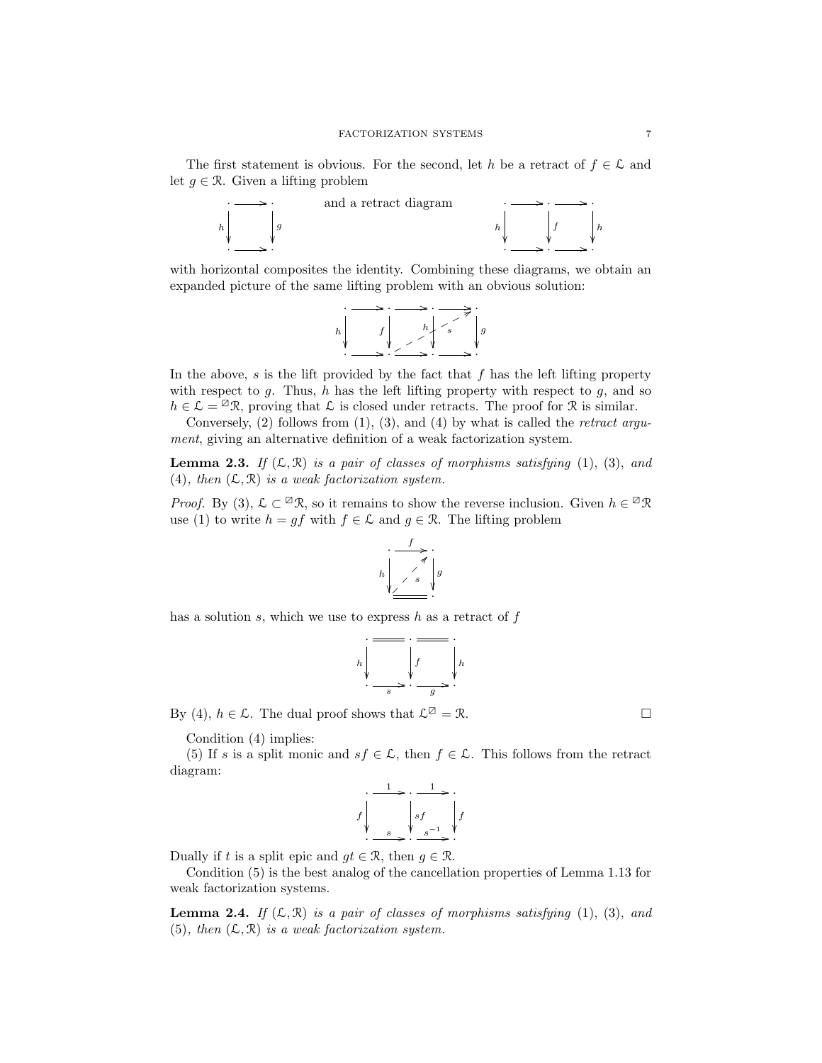The first statement is obvious. For the second, let h be a retract of  $f \in \mathcal{L}$  and let  $g \in \mathcal{R}$ . Given a lifting problem



with horizontal composites the identity. Combining these diagrams, we obtain an expanded picture of the same lifting problem with an obvious solution:

$$
\begin{array}{ccc}\n\cdot & \xrightarrow{\cdot} & \xrightarrow{\cdot} & \cdot & \xrightarrow{\cdot} & \cdot \\
\hline\nh & & & h & \cdot & \cdot & \cdot & \cdot \\
\cdot & \xrightarrow{\cdot} & \xrightarrow{\cdot} & \xrightarrow{\cdot} & \cdot & \xrightarrow{\cdot} & \cdot & \cdot\n\end{array}
$$

In the above,  $s$  is the lift provided by the fact that  $f$  has the left lifting property with respect to  $g$ . Thus,  $h$  has the left lifting property with respect to  $g$ , and so  $h \in \mathcal{L} = \mathbb{Z}\mathcal{R}$ , proving that  $\mathcal{L}$  is closed under retracts. The proof for  $\mathcal{R}$  is similar.

Conversely,  $(2)$  follows from  $(1)$ ,  $(3)$ , and  $(4)$  by what is called the *retract argu*ment, giving an alternative definition of a weak factorization system.

**Lemma 2.3.** If  $(L, \mathcal{R})$  is a pair of classes of morphisms satisfying (1), (3), and (4), then  $(L, \mathcal{R})$  is a weak factorization system.

*Proof.* By (3),  $\mathcal{L} \subset \mathbb{Z}R$ , so it remains to show the reverse inclusion. Given  $h \in \mathbb{Z}R$ use (1) to write  $h = gf$  with  $f \in \mathcal{L}$  and  $g \in \mathcal{R}$ . The lifting problem



has a solution s, which we use to express h as a retract of  $f$ 

$$
h \downarrow \qquad \qquad \downarrow \qquad \qquad \downarrow \qquad \qquad \downarrow \qquad \downarrow \qquad \downarrow \qquad \downarrow \qquad \downarrow \qquad \downarrow \qquad \downarrow \qquad \downarrow \qquad \downarrow \qquad \downarrow \qquad \downarrow \qquad \downarrow \qquad \downarrow \qquad \downarrow \qquad \downarrow \qquad \downarrow \qquad \downarrow \qquad \downarrow \qquad \downarrow \qquad \downarrow \qquad \downarrow \qquad \downarrow \qquad \downarrow \qquad \downarrow \qquad \downarrow \qquad \downarrow \qquad \downarrow \qquad \downarrow \qquad \downarrow \qquad \downarrow \qquad \downarrow \qquad \downarrow \qquad \downarrow \qquad \downarrow \qquad \downarrow \qquad \downarrow \qquad \downarrow \qquad \downarrow \qquad \downarrow \qquad \downarrow \qquad \downarrow \qquad \downarrow \qquad \downarrow \qquad \downarrow \qquad \downarrow \qquad \downarrow \qquad \downarrow \qquad \downarrow \qquad \downarrow \qquad \downarrow \qquad \downarrow \qquad \downarrow \qquad \downarrow \qquad \downarrow \qquad \downarrow \qquad \downarrow \qquad \downarrow \qquad \downarrow \qquad \downarrow \qquad \downarrow \qquad \downarrow \qquad \downarrow \qquad \downarrow \qquad \downarrow \qquad \downarrow \qquad \downarrow \qquad \downarrow \qquad \downarrow \qquad \downarrow \qquad \downarrow \qquad \downarrow \qquad \downarrow \qquad \downarrow \qquad \downarrow \qquad \downarrow \qquad \downarrow \qquad \downarrow \qquad \downarrow \qquad \downarrow \qquad \downarrow \qquad \downarrow \qquad \downarrow \qquad \downarrow \qquad \downarrow \qquad \downarrow \qquad \downarrow \qquad \downarrow \qquad \downarrow \qquad \downarrow \qquad \downarrow \qquad \downarrow \qquad \downarrow \qquad \downarrow \qquad \downarrow \qquad \downarrow \qquad \downarrow \qquad \downarrow \qquad \downarrow \qquad \downarrow \qquad \downarrow \qquad \downarrow \qquad \downarrow \qquad \downarrow \qquad \downarrow \qquad \downarrow \qquad \downarrow \qquad \downarrow \qquad \downarrow \qquad \downarrow \qquad \downarrow \qquad \downarrow \qquad \downarrow \qquad \downarrow \qquad \downarrow \qquad \downarrow \qquad \downarrow \qquad \downarrow \qquad \downarrow \qquad \downarrow \qquad \downarrow \qquad \downarrow \qquad \downarrow \q
$$

By (4),  $h \in \mathcal{L}$ . The dual proof shows that  $\mathcal{L}^{\boxtimes} = \mathcal{R}$ .

Condition (4) implies:

(5) If s is a split monic and  $sf \in \mathcal{L}$ , then  $f \in \mathcal{L}$ . This follows from the retract diagram:

$$
f \downarrow \qquad \qquad \downarrow \qquad \qquad \downarrow \qquad \downarrow
$$
\n
$$
\downarrow \qquad \qquad \downarrow \qquad \downarrow \qquad \downarrow
$$
\n
$$
\cdot \qquad \qquad \downarrow \qquad \downarrow
$$
\n
$$
\cdot \qquad \qquad \downarrow
$$
\n
$$
\downarrow
$$
\n
$$
\downarrow
$$
\n
$$
\downarrow
$$
\n
$$
\downarrow
$$
\n
$$
\downarrow
$$
\n
$$
\downarrow
$$
\n
$$
\downarrow
$$
\n
$$
\downarrow
$$
\n
$$
\downarrow
$$
\n
$$
\downarrow
$$
\n
$$
\downarrow
$$
\n
$$
\downarrow
$$
\n
$$
\downarrow
$$
\n
$$
\downarrow
$$
\n
$$
\downarrow
$$
\n
$$
\downarrow
$$
\n
$$
\downarrow
$$
\n
$$
\downarrow
$$
\n
$$
\downarrow
$$
\n
$$
\downarrow
$$
\n
$$
\downarrow
$$
\n
$$
\downarrow
$$
\n
$$
\downarrow
$$
\n
$$
\downarrow
$$
\n
$$
\downarrow
$$
\n
$$
\downarrow
$$
\n
$$
\downarrow
$$
\n
$$
\downarrow
$$
\n
$$
\downarrow
$$
\n
$$
\downarrow
$$
\n
$$
\downarrow
$$
\n
$$
\downarrow
$$
\n
$$
\downarrow
$$
\n
$$
\downarrow
$$
\n
$$
\downarrow
$$
\n
$$
\downarrow
$$
\n
$$
\downarrow
$$
\n
$$
\downarrow
$$
\n
$$
\downarrow
$$
\n
$$
\downarrow
$$
\n
$$
\downarrow
$$
\n
$$
\downarrow
$$
\n
$$
\downarrow
$$
\n
$$
\downarrow
$$
\n
$$
\downarrow
$$
\n
$$
\downarrow
$$
\n
$$
\downarrow
$$
\n
$$
\downarrow
$$
\n
$$
\downarrow
$$
\n
$$
\downarrow
$$
\n
$$
\downarrow
$$
\n
$$
\downarrow
$$
\n
$$
\downarrow
$$
\n
$$
\downarrow
$$
\n

Dually if t is a split epic and  $gt \in \mathcal{R}$ , then  $g \in \mathcal{R}$ .

Condition (5) is the best analog of the cancellation properties of Lemma 1.13 for weak factorization systems.

**Lemma 2.4.** If  $(L, \mathcal{R})$  is a pair of classes of morphisms satisfying (1), (3), and (5), then  $(L, \mathcal{R})$  is a weak factorization system.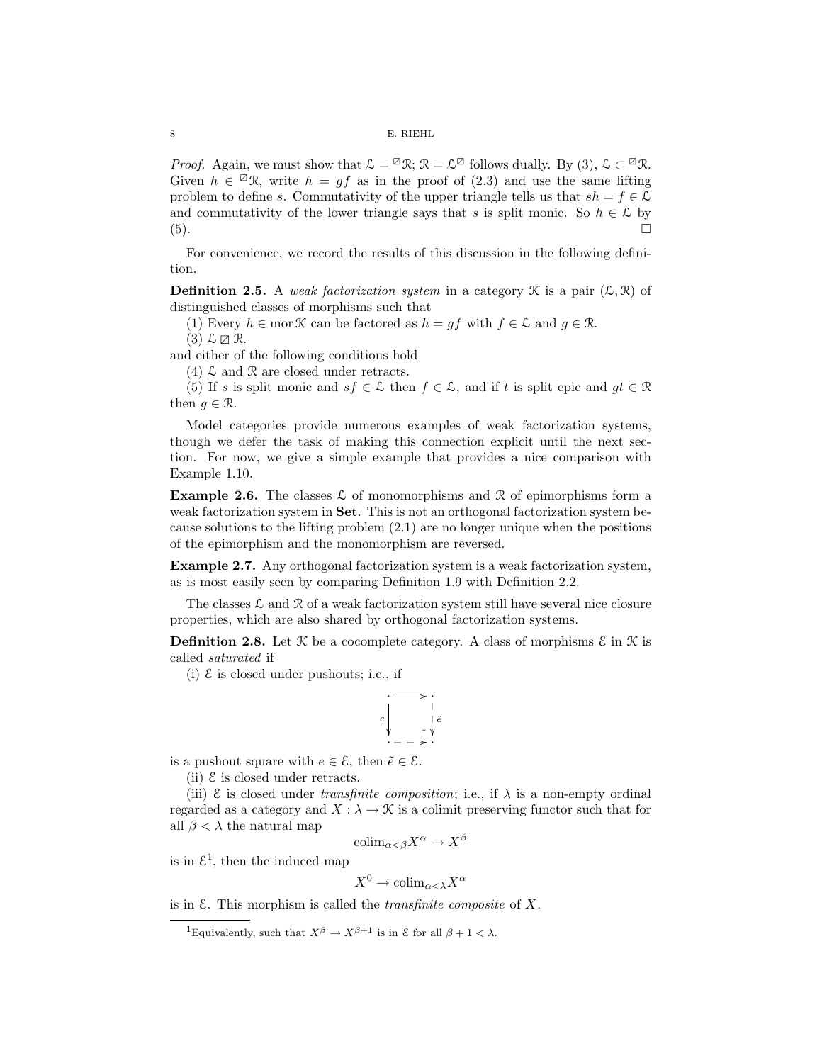*Proof.* Again, we must show that  $\mathcal{L} = \mathbb{Z} \mathbb{R}$ ;  $\mathcal{R} = \mathcal{L} \mathbb{Z}$  follows dually. By (3),  $\mathcal{L} \subset \mathbb{Z} \mathbb{R}$ . Given  $h \in \mathbb{Z} \mathcal{R}$ , write  $h = gf$  as in the proof of  $(2.3)$  and use the same lifting problem to define s. Commutativity of the upper triangle tells us that  $sh = f \in \mathcal{L}$ and commutativity of the lower triangle says that s is split monic. So  $h \in \mathcal{L}$  by (5).

For convenience, we record the results of this discussion in the following definition.

**Definition 2.5.** A weak factorization system in a category  $\mathcal{K}$  is a pair  $(\mathcal{L}, \mathcal{R})$  of distinguished classes of morphisms such that

(1) Every  $h \in \text{mor } \mathcal{K}$  can be factored as  $h = gf$  with  $f \in \mathcal{L}$  and  $g \in \mathcal{R}$ .

 $(3)$   $\mathcal{L} \boxtimes \mathcal{R}$ .

and either of the following conditions hold

(4)  $\mathcal{L}$  and  $\mathcal{R}$  are closed under retracts.

(5) If s is split monic and  $sf \in \mathcal{L}$  then  $f \in \mathcal{L}$ , and if t is split epic and  $gt \in \mathcal{R}$ then  $q \in \mathcal{R}$ .

Model categories provide numerous examples of weak factorization systems, though we defer the task of making this connection explicit until the next section. For now, we give a simple example that provides a nice comparison with Example 1.10.

**Example 2.6.** The classes  $\mathcal{L}$  of monomorphisms and  $\mathcal{R}$  of epimorphisms form a weak factorization system in **Set**. This is not an orthogonal factorization system because solutions to the lifting problem (2.1) are no longer unique when the positions of the epimorphism and the monomorphism are reversed.

Example 2.7. Any orthogonal factorization system is a weak factorization system, as is most easily seen by comparing Definition 1.9 with Definition 2.2.

The classes  $\mathcal L$  and  $\mathcal R$  of a weak factorization system still have several nice closure properties, which are also shared by orthogonal factorization systems.

**Definition 2.8.** Let  $\mathcal{K}$  be a cocomplete category. A class of morphisms  $\mathcal{E}$  in  $\mathcal{K}$  is called saturated if

(i)  $\&$  is closed under pushouts; i.e., if

$$
\cdot \xrightarrow{\cdot} \cdot
$$
\n
$$
\cdot \xrightarrow{\cdot} \cdot \xrightarrow{\cdot} \cdot
$$
\n
$$
\cdot \xrightarrow{\cdot} \cdot \xrightarrow{\cdot}
$$

is a pushout square with  $e \in \mathcal{E}$ , then  $\tilde{e} \in \mathcal{E}$ .

(ii)  $\mathcal E$  is closed under retracts.

(iii)  $\mathcal E$  is closed under *transfinite composition*; i.e., if  $\lambda$  is a non-empty ordinal regarded as a category and  $X : \lambda \to \mathcal{K}$  is a colimit preserving functor such that for all  $\beta < \lambda$  the natural map

$$
\mathrm{colim}_{\alpha<\beta}X^{\alpha} \to X^{\beta}
$$

is in  $\mathcal{E}^1$ , then the induced map

$$
X^0 \to \mathrm{colim}_{\alpha < \lambda} X^\alpha
$$

is in  $\mathcal E$ . This morphism is called the *transfinite composite* of X.

<sup>&</sup>lt;sup>1</sup>Equivalently, such that  $X^{\beta} \to X^{\beta+1}$  is in  $\mathcal E$  for all  $\beta + 1 < \lambda$ .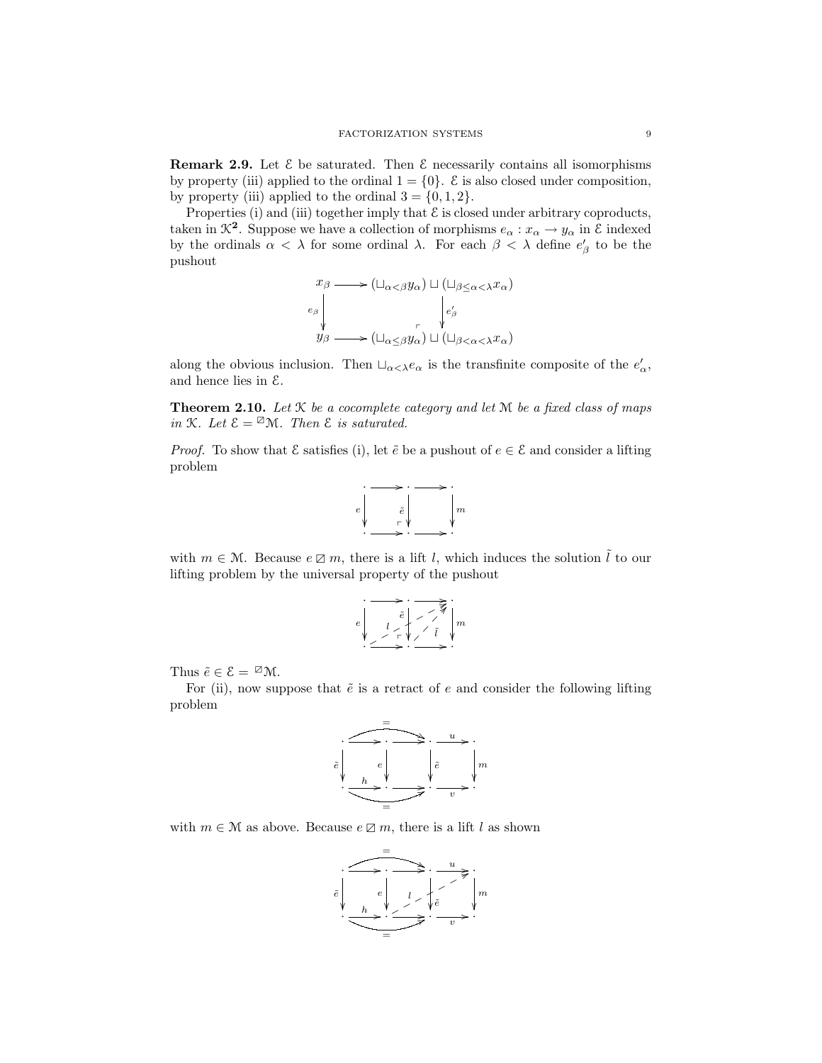Remark 2.9. Let  $\mathcal E$  be saturated. Then  $\mathcal E$  necessarily contains all isomorphisms by property (iii) applied to the ordinal  $1 = \{0\}$ . E is also closed under composition, by property (iii) applied to the ordinal  $3 = \{0, 1, 2\}.$ 

Properties (i) and (iii) together imply that  $\mathcal E$  is closed under arbitrary coproducts, taken in  $\mathcal{K}^2$ . Suppose we have a collection of morphisms  $e_\alpha: x_\alpha \to y_\alpha$  in  $\mathcal{E}$  indexed by the ordinals  $\alpha < \lambda$  for some ordinal  $\lambda$ . For each  $\beta < \lambda$  define  $e'_{\beta}$  to be the pushout

$$
x_{\beta} \longrightarrow (\sqcup_{\alpha < \beta} y_{\alpha}) \sqcup (\sqcup_{\beta \leq \alpha < \lambda} x_{\alpha})
$$
  
\n
$$
e_{\beta} \downarrow \qquad \qquad \downarrow e'_{\beta}
$$
  
\n
$$
y_{\beta} \longrightarrow (\sqcup_{\alpha \leq \beta} y_{\alpha}) \sqcup (\sqcup_{\beta < \alpha < \lambda} x_{\alpha})
$$

along the obvious inclusion. Then  $\Box_{\alpha<\lambda}e_{\alpha}$  is the transfinite composite of the  $e'_{\alpha}$ , and hence lies in E.

**Theorem 2.10.** Let  $K$  be a cocomplete category and let  $M$  be a fixed class of maps in K. Let  $\mathcal{E} = \mathbb{Z} \mathcal{M}$ . Then  $\mathcal{E}$  is saturated.

*Proof.* To show that  $\mathcal E$  satisfies (i), let  $\tilde{e}$  be a pushout of  $e \in \mathcal E$  and consider a lifting problem



with  $m \in \mathcal{M}$ . Because  $e \boxtimes m$ , there is a lift l, which induces the solution  $\hat{l}$  to our lifting problem by the universal property of the pushout

$$
\begin{array}{c}\n\cdot & \xrightarrow{\cdot} & \xrightarrow{\cdot} & \cdot \\
\downarrow & \downarrow & \nearrow & \downarrow \\
\downarrow & \searrow & \searrow & \searrow & \searrow \\
\downarrow & \searrow & \searrow & \searrow & \searrow\n\end{array}
$$

Thus  $\tilde{e} \in \mathcal{E} = \mathbb{Z} \mathfrak{M}$ .

For (ii), now suppose that  $\tilde{e}$  is a retract of e and consider the following lifting problem



with  $m \in \mathcal{M}$  as above. Because  $e \boxtimes m$ , there is a lift l as shown

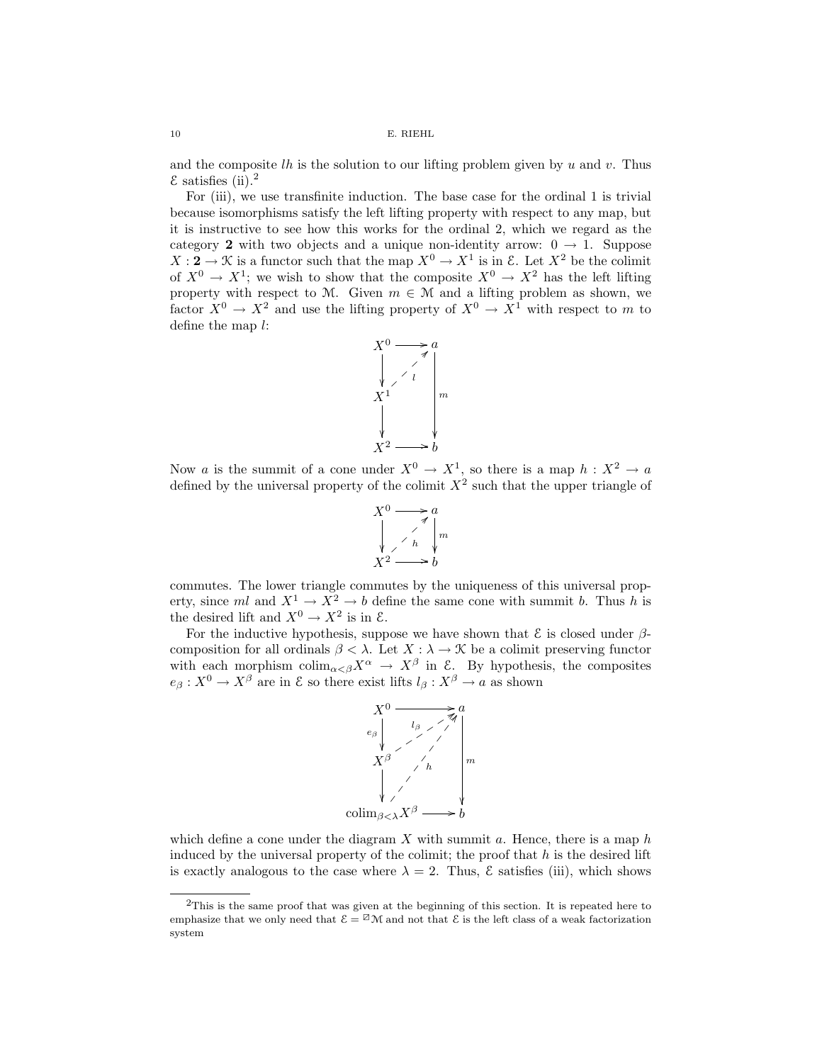and the composite lh is the solution to our lifting problem given by u and v. Thus  $\epsilon$  satisfies (ii).<sup>2</sup>

For (iii), we use transfinite induction. The base case for the ordinal 1 is trivial because isomorphisms satisfy the left lifting property with respect to any map, but it is instructive to see how this works for the ordinal 2, which we regard as the category 2 with two objects and a unique non-identity arrow:  $0 \rightarrow 1$ . Suppose  $X: \mathbf{2} \to \mathcal{K}$  is a functor such that the map  $X^0 \to X^1$  is in  $\mathcal{E}$ . Let  $X^2$  be the colimit of  $X^0 \to X^1$ ; we wish to show that the composite  $X^0 \to X^2$  has the left lifting property with respect to M. Given  $m \in \mathcal{M}$  and a lifting problem as shown, we factor  $X^0 \to X^2$  and use the lifting property of  $X^0 \to X^1$  with respect to m to define the map l:



Now a is the summit of a cone under  $X^0 \to X^1$ , so there is a map  $h: X^2 \to a$ defined by the universal property of the colimit  $X^2$  such that the upper triangle of



commutes. The lower triangle commutes by the uniqueness of this universal property, since ml and  $X^1 \to X^2 \to b$  define the same cone with summit b. Thus h is the desired lift and  $X^0 \to X^2$  is in  $\mathcal{E}$ .

For the inductive hypothesis, suppose we have shown that  $\mathcal E$  is closed under  $\beta$ composition for all ordinals  $\beta < \lambda$ . Let  $X : \lambda \to \mathcal{K}$  be a colimit preserving functor with each morphism  $\text{colim}_{\alpha < \beta} X^{\alpha} \to X^{\beta}$  in  $\mathcal{E}$ . By hypothesis, the composites  $e_{\beta}: X^0 \to X^{\beta}$  are in  $\mathcal E$  so there exist lifts  $l_{\beta}: X^{\beta} \to a$  as shown



which define a cone under the diagram  $X$  with summit  $a$ . Hence, there is a map  $h$ induced by the universal property of the colimit; the proof that  $h$  is the desired lift is exactly analogous to the case where  $\lambda = 2$ . Thus,  $\epsilon$  satisfies (iii), which shows

<sup>&</sup>lt;sup>2</sup>This is the same proof that was given at the beginning of this section. It is repeated here to emphasize that we only need that  $\mathcal{E} = \mathbb{Z} \mathcal{M}$  and not that  $\mathcal{E}$  is the left class of a weak factorization system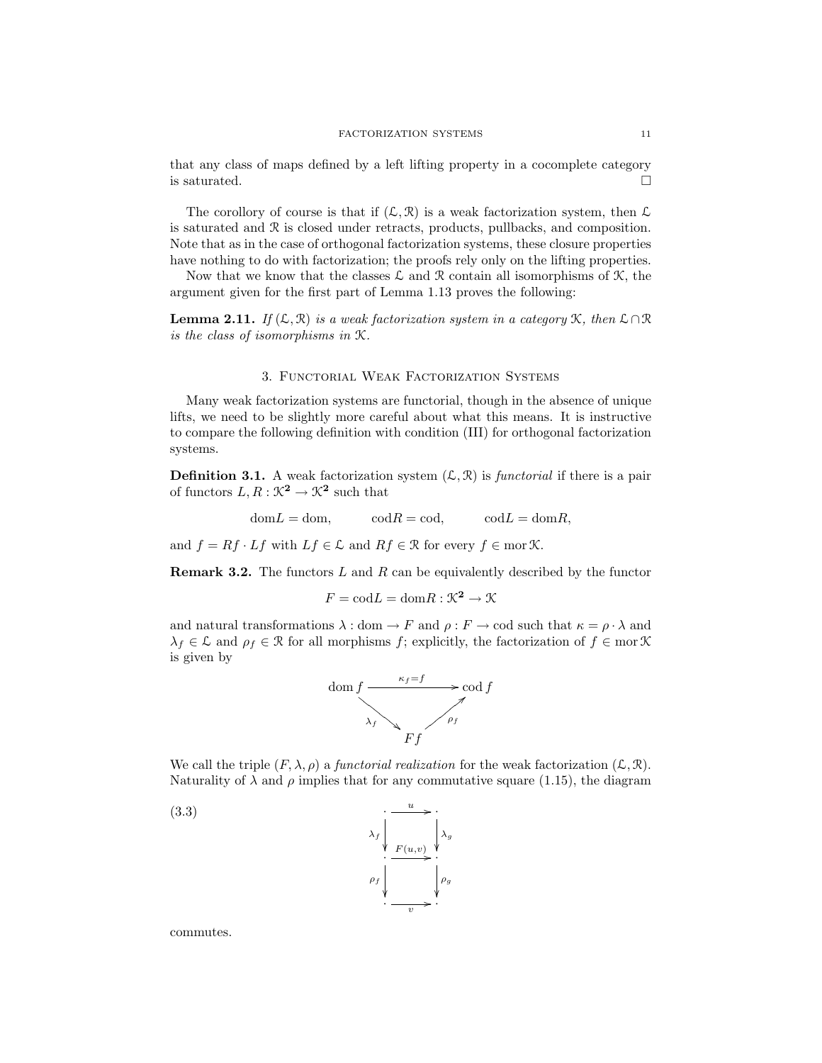that any class of maps defined by a left lifting property in a cocomplete category is saturated.  $\square$ 

The corollory of course is that if  $(\mathcal{L}, \mathcal{R})$  is a weak factorization system, then  $\mathcal{L}$ is saturated and R is closed under retracts, products, pullbacks, and composition. Note that as in the case of orthogonal factorization systems, these closure properties have nothing to do with factorization; the proofs rely only on the lifting properties.

Now that we know that the classes  $\mathcal L$  and  $\mathcal R$  contain all isomorphisms of  $\mathcal K$ , the argument given for the first part of Lemma 1.13 proves the following:

**Lemma 2.11.** If  $(L, \mathcal{R})$  is a weak factorization system in a category  $K$ , then  $L \cap \mathcal{R}$ is the class of isomorphisms in K.

## 3. Functorial Weak Factorization Systems

Many weak factorization systems are functorial, though in the absence of unique lifts, we need to be slightly more careful about what this means. It is instructive to compare the following definition with condition (III) for orthogonal factorization systems.

**Definition 3.1.** A weak factorization system  $(\mathcal{L}, \mathcal{R})$  is functorial if there is a pair of functors  $L, R : \mathcal{K}^2 \to \mathcal{K}^2$  such that

$$
dom L = dom, \qquad cod R = cod, \qquad cod L = dom R,
$$

and  $f = Rf \cdot Lf$  with  $Lf \in \mathcal{L}$  and  $Rf \in \mathcal{R}$  for every  $f \in \text{mor }\mathcal{K}$ .

**Remark 3.2.** The functors  $L$  and  $R$  can be equivalently described by the functor

$$
F = \text{cod}L = \text{dom}R : \mathcal{K}^2 \to \mathcal{K}
$$

and natural transformations  $\lambda : dom \to F$  and  $\rho : F \to cod$  such that  $\kappa = \rho \cdot \lambda$  and  $\lambda_f \in \mathcal{L}$  and  $\rho_f \in \mathcal{R}$  for all morphisms f; explicitly, the factorization of  $f \in \text{mor } \mathcal{K}$ is given by



We call the triple  $(F, \lambda, \rho)$  a functorial realization for the weak factorization  $(L, \mathcal{R})$ . Naturality of  $\lambda$  and  $\rho$  implies that for any commutative square (1.15), the diagram



commutes.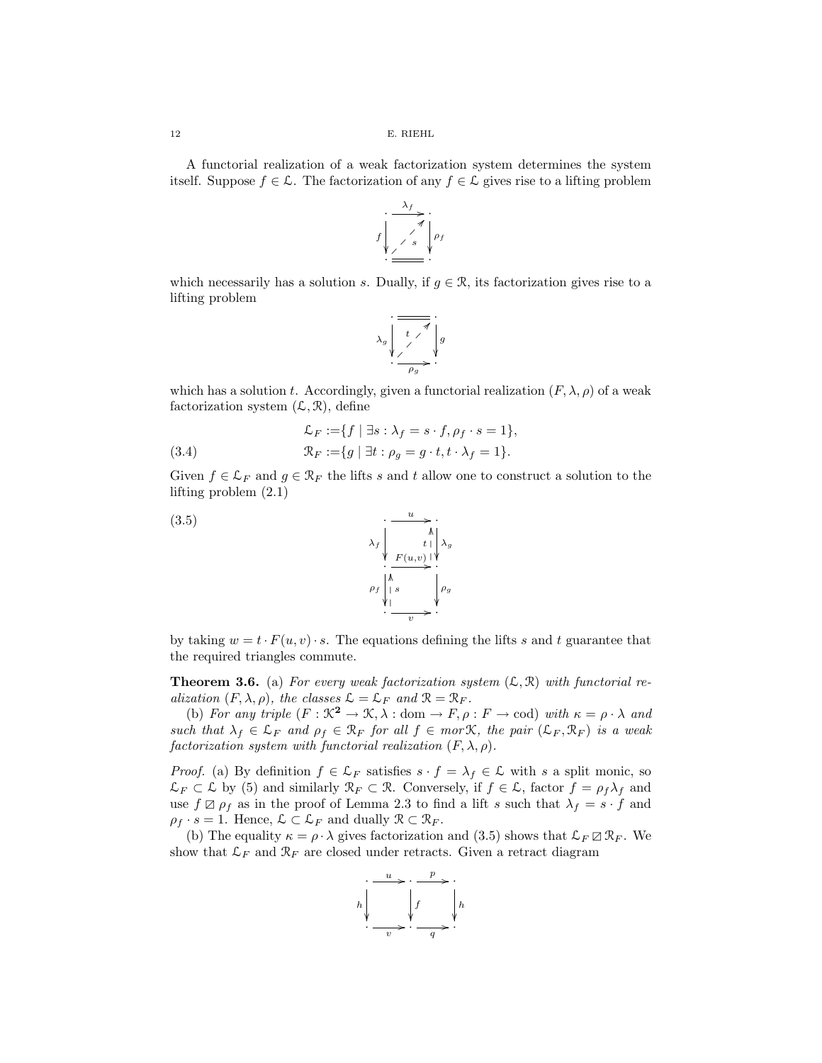A functorial realization of a weak factorization system determines the system itself. Suppose  $f \in \mathcal{L}$ . The factorization of any  $f \in \mathcal{L}$  gives rise to a lifting problem



which necessarily has a solution s. Dually, if  $g \in \mathcal{R}$ , its factorization gives rise to a lifting problem

$$
\lambda_g \sqrt{\begin{array}{c}\n t \nearrow \\
 t \nearrow \\
 t \nearrow \\
 t \nearrow \\
 \searrow \\
 \hline\n \rho_g\n \end{array}} g
$$

which has a solution t. Accordingly, given a functorial realization  $(F, \lambda, \rho)$  of a weak factorization system  $(\mathcal{L}, \mathcal{R})$ , define

(3.4) 
$$
\mathcal{L}_F := \{ f \mid \exists s : \lambda_f = s \cdot f, \rho_f \cdot s = 1 \},
$$

$$
\mathcal{R}_F := \{ g \mid \exists t : \rho_g = g \cdot t, t \cdot \lambda_f = 1 \}.
$$

Given  $f \in \mathcal{L}_F$  and  $g \in \mathcal{R}_F$  the lifts s and t allow one to construct a solution to the lifting problem (2.1)



by taking  $w = t \cdot F(u, v) \cdot s$ . The equations defining the lifts s and t guarantee that the required triangles commute.

**Theorem 3.6.** (a) For every weak factorization system  $(\mathcal{L}, \mathcal{R})$  with functorial realization  $(F, \lambda, \rho)$ , the classes  $\mathcal{L} = \mathcal{L}_F$  and  $\mathcal{R} = \mathcal{R}_F$ .

(b) For any triple  $(F: \mathcal{K}^2 \to \mathcal{K}, \lambda : \text{dom} \to F, \rho : F \to \text{cod})$  with  $\kappa = \rho \cdot \lambda$  and such that  $\lambda_f \in \mathcal{L}_F$  and  $\rho_f \in \mathcal{R}_F$  for all  $f \in mor\mathcal{K}$ , the pair  $(\mathcal{L}_F, \mathcal{R}_F)$  is a weak factorization system with functorial realization  $(F, \lambda, \rho)$ .

*Proof.* (a) By definition  $f \in \mathcal{L}_F$  satisfies  $s \cdot f = \lambda_f \in \mathcal{L}$  with s a split monic, so  $\mathcal{L}_F \subset \mathcal{L}$  by (5) and similarly  $\mathcal{R}_F \subset \mathcal{R}$ . Conversely, if  $f \in \mathcal{L}$ , factor  $f = \rho_f \lambda_f$  and use  $f \boxtimes \rho_f$  as in the proof of Lemma 2.3 to find a lift s such that  $\lambda_f = s \cdot f$  and  $\rho_f \cdot s = 1$ . Hence,  $\mathcal{L} \subset \mathcal{L}_F$  and dually  $\mathcal{R} \subset \mathcal{R}_F$ .

(b) The equality  $\kappa = \rho \cdot \lambda$  gives factorization and (3.5) shows that  $\mathcal{L}_F \boxtimes \mathcal{R}_F$ . We show that  $\mathcal{L}_F$  and  $\mathcal{R}_F$  are closed under retracts. Given a retract diagram

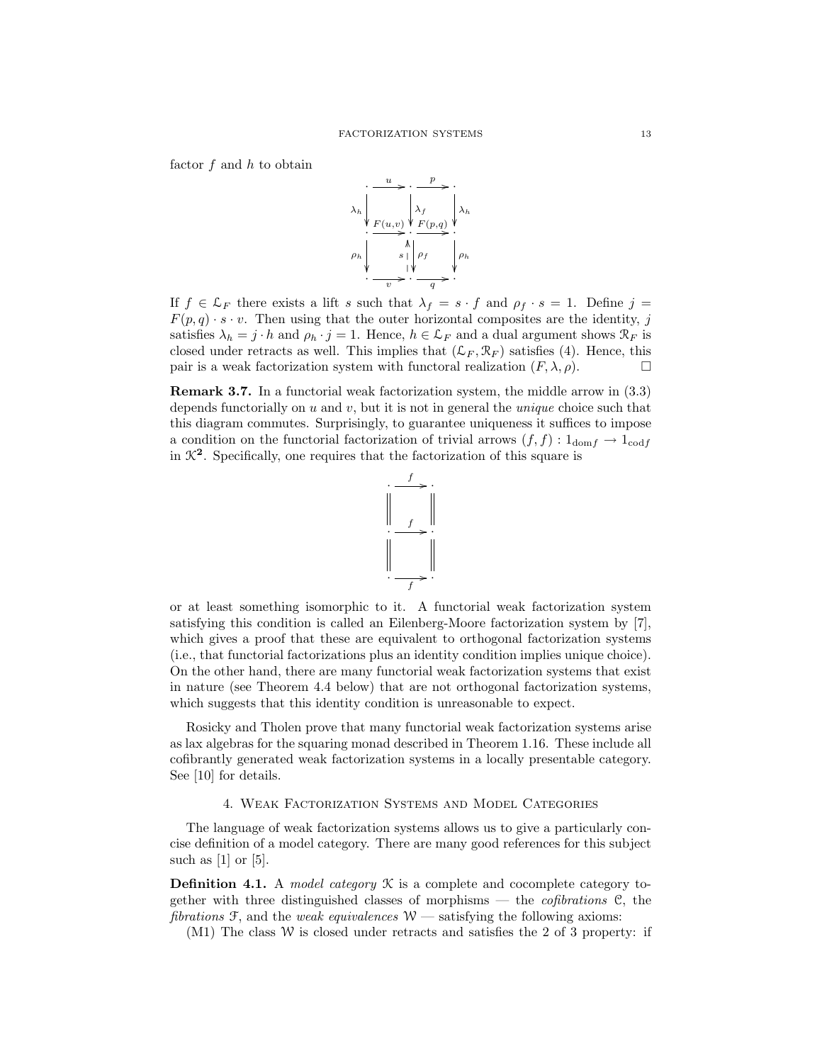factor  $f$  and  $h$  to obtain

$$
\begin{array}{c}\n\cdot & u & \rightarrow & p \\
\lambda_h & \lambda_f & \lambda_h \\
\hline\n\cdot & \cdot & \cdot \\
P(h) & \lambda_f & P(h,q) \\
\hline\n\cdot & \cdot & \cdot \\
\hline\n\cdot & \cdot & \cdot \\
\hline\n\cdot & \cdot & \cdot \\
\hline\n\cdot & \cdot & \cdot \\
\hline\n\cdot & \cdot & \cdot \\
\hline\n\cdot & \cdot & \cdot \\
\hline\n\end{array}
$$

If  $f \in \mathcal{L}_F$  there exists a lift s such that  $\lambda_f = s \cdot f$  and  $\rho_f \cdot s = 1$ . Define  $j =$  $F(p,q) \cdot s \cdot v$ . Then using that the outer horizontal composites are the identity, j satisfies  $\lambda_h = j \cdot h$  and  $\rho_h \cdot j = 1$ . Hence,  $h \in \mathcal{L}_F$  and a dual argument shows  $\mathcal{R}_F$  is closed under retracts as well. This implies that  $(\mathcal{L}_F, \mathcal{R}_F)$  satisfies (4). Hence, this pair is a weak factorization system with functoral realization  $(F, \lambda, \rho)$ .

Remark 3.7. In a functorial weak factorization system, the middle arrow in (3.3) depends functorially on  $u$  and  $v$ , but it is not in general the *unique* choice such that this diagram commutes. Surprisingly, to guarantee uniqueness it suffices to impose a condition on the functorial factorization of trivial arrows  $(f, f) : 1_{\text{dom } f} \to 1_{\text{cod } f}$ in  $\mathcal{K}^2$ . Specifically, one requires that the factorization of this square is



or at least something isomorphic to it. A functorial weak factorization system satisfying this condition is called an Eilenberg-Moore factorization system by [7], which gives a proof that these are equivalent to orthogonal factorization systems (i.e., that functorial factorizations plus an identity condition implies unique choice). On the other hand, there are many functorial weak factorization systems that exist in nature (see Theorem 4.4 below) that are not orthogonal factorization systems, which suggests that this identity condition is unreasonable to expect.

Rosicky and Tholen prove that many functorial weak factorization systems arise as lax algebras for the squaring monad described in Theorem 1.16. These include all cofibrantly generated weak factorization systems in a locally presentable category. See [10] for details.

#### 4. Weak Factorization Systems and Model Categories

The language of weak factorization systems allows us to give a particularly concise definition of a model category. There are many good references for this subject such as  $[1]$  or  $[5]$ .

**Definition 4.1.** A model category  $K$  is a complete and cocomplete category together with three distinguished classes of morphisms — the cofibrations C, the fibrations  $\mathcal{F}$ , and the *weak equivalences*  $\mathcal{W}$  — satisfying the following axioms:

 $(M1)$  The class W is closed under retracts and satisfies the 2 of 3 property: if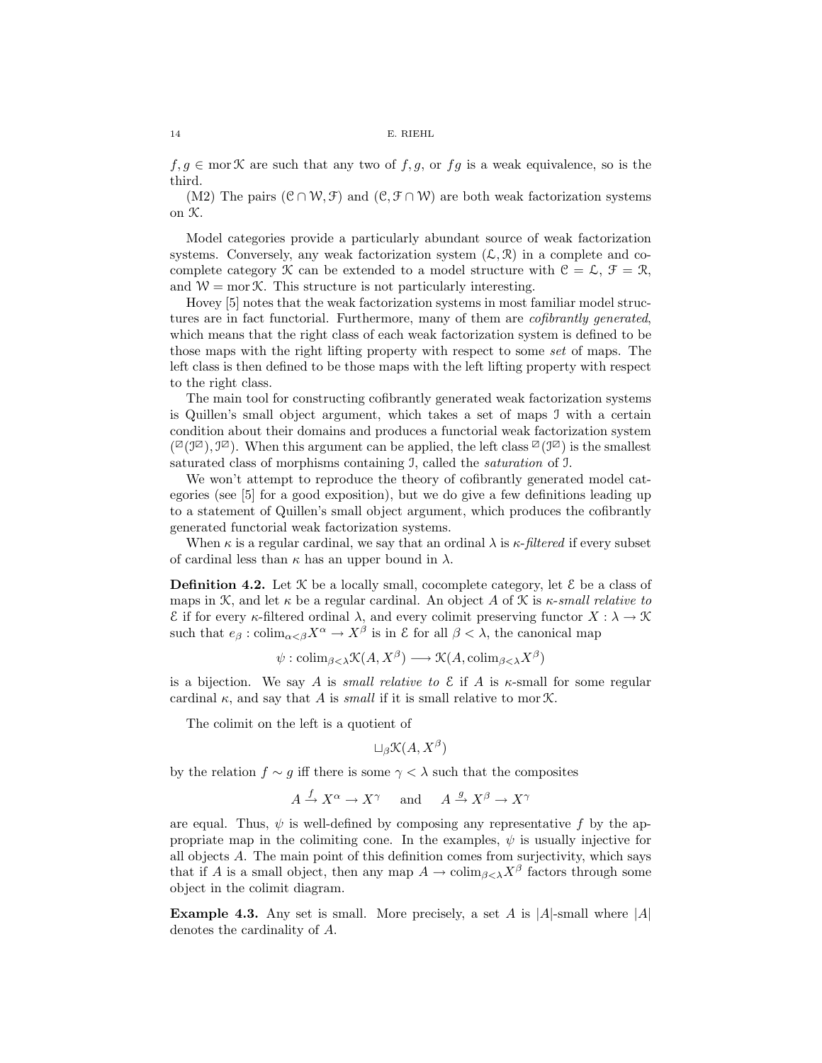$f, g \in \text{mor } \mathcal{K}$  are such that any two of  $f, g$ , or  $fg$  is a weak equivalence, so is the third.

(M2) The pairs  $(\mathcal{C} \cap \mathcal{W}, \mathcal{F})$  and  $(\mathcal{C}, \mathcal{F} \cap \mathcal{W})$  are both weak factorization systems on K.

Model categories provide a particularly abundant source of weak factorization systems. Conversely, any weak factorization system  $(\mathcal{L}, \mathcal{R})$  in a complete and cocomplete category  $\mathcal K$  can be extended to a model structure with  $\mathcal C = \mathcal L, \mathcal F = \mathcal R,$ and  $W = \text{mor } \mathcal{K}$ . This structure is not particularly interesting.

Hovey [5] notes that the weak factorization systems in most familiar model structures are in fact functorial. Furthermore, many of them are *cofibrantly generated*, which means that the right class of each weak factorization system is defined to be those maps with the right lifting property with respect to some set of maps. The left class is then defined to be those maps with the left lifting property with respect to the right class.

The main tool for constructing cofibrantly generated weak factorization systems is Quillen's small object argument, which takes a set of maps I with a certain condition about their domains and produces a functorial weak factorization system  $(\mathbb{Z}(\mathcal{I}^{\boxtimes}), \mathcal{I}^{\boxtimes})$ . When this argument can be applied, the left class  $\mathbb{Z}(\mathcal{I}^{\boxtimes})$  is the smallest saturated class of morphisms containing I, called the saturation of I.

We won't attempt to reproduce the theory of cofibrantly generated model categories (see [5] for a good exposition), but we do give a few definitions leading up to a statement of Quillen's small object argument, which produces the cofibrantly generated functorial weak factorization systems.

When  $\kappa$  is a regular cardinal, we say that an ordinal  $\lambda$  is  $\kappa$ -filtered if every subset of cardinal less than  $\kappa$  has an upper bound in  $\lambda$ .

**Definition 4.2.** Let  $\mathcal{K}$  be a locally small, cocomplete category, let  $\mathcal{E}$  be a class of maps in K, and let  $\kappa$  be a regular cardinal. An object A of K is  $\kappa$ -small relative to E if for every κ-filtered ordinal λ, and every colimit preserving functor X : λ → K such that  $e_{\beta}: \text{colim}_{\alpha < \beta} X^{\alpha} \to X^{\beta}$  is in  $\mathcal E$  for all  $\beta < \lambda$ , the canonical map

$$
\psi : \text{colim}_{\beta < \lambda} \mathcal{K}(A, X^{\beta}) \longrightarrow \mathcal{K}(A, \text{colim}_{\beta < \lambda} X^{\beta})
$$

is a bijection. We say A is *small relative to*  $\mathcal E$  if A is  $\kappa$ -small for some regular cardinal  $\kappa$ , and say that A is small if it is small relative to mor  $\mathcal{K}$ .

The colimit on the left is a quotient of

$$
\sqcup_{\beta} \mathcal{K}(A, X^{\beta})
$$

by the relation  $f \sim g$  iff there is some  $\gamma < \lambda$  such that the composites

$$
A\stackrel{f}\to X^\alpha\to X^\gamma\quad \ \ \text{and}\quad \ \ A\stackrel{g}\to X^\beta\to X^\gamma
$$

are equal. Thus,  $\psi$  is well-defined by composing any representative f by the appropriate map in the colimiting cone. In the examples,  $\psi$  is usually injective for all objects A. The main point of this definition comes from surjectivity, which says that if A is a small object, then any map  $A \to \text{colim}_{\beta < \lambda} X^{\beta}$  factors through some object in the colimit diagram.

**Example 4.3.** Any set is small. More precisely, a set A is  $|A|$ -small where  $|A|$ denotes the cardinality of A.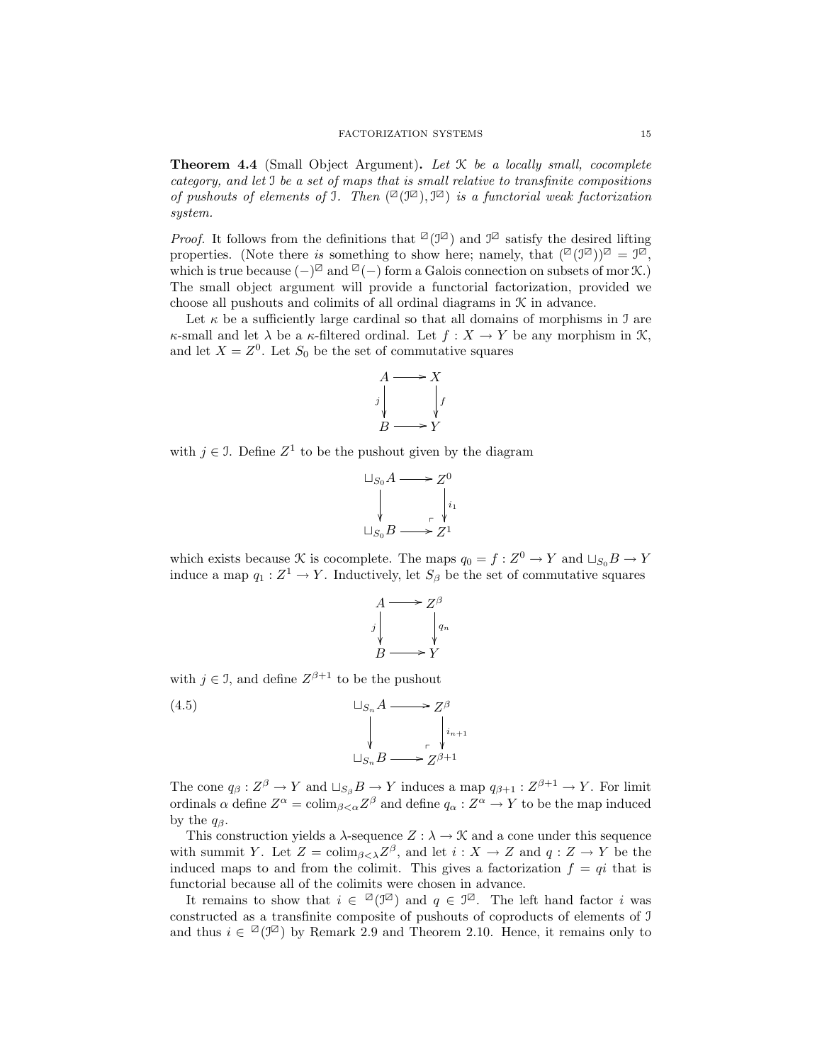**Theorem 4.4** (Small Object Argument). Let  $K$  be a locally small, cocomplete category, and let I be a set of maps that is small relative to transfinite compositions of pushouts of elements of 1. Then  $(\mathbb{Z}(\mathbb{Z}^{\mathbb{Z}}), \mathbb{Z}^{\mathbb{Z}})$  is a functorial weak factorization system.

*Proof.* It follows from the definitions that  $\mathbb{Z}(\mathcal{I}^{\mathbb{Z}})$  and  $\mathcal{I}^{\mathbb{Z}}$  satisfy the desired lifting properties. (Note there is something to show here; namely, that  $({}^{\mathbb{Z}}(\mathcal{I}^{\mathbb{Z}}))^{\mathbb{Z}} = \mathcal{I}^{\mathbb{Z}}$ , which is true because  $(-)^{\boxtimes}$  and  $^{\boxtimes}(-)$  form a Galois connection on subsets of mor  $\mathfrak{X}$ .) The small object argument will provide a functorial factorization, provided we choose all pushouts and colimits of all ordinal diagrams in  $K$  in advance.

Let  $\kappa$  be a sufficiently large cardinal so that all domains of morphisms in J are  $\kappa$ -small and let  $\lambda$  be a  $\kappa$ -filtered ordinal. Let  $f: X \to Y$  be any morphism in  $\mathcal{K}$ , and let  $X = Z^0$ . Let  $S_0$  be the set of commutative squares



with  $j \in \mathcal{I}$ . Define  $Z^1$  to be the pushout given by the diagram

$$
\bigcup_{S_0} A \longrightarrow Z^0
$$
  
\n
$$
\downarrow \qquad \qquad \downarrow_{i_1}
$$
  
\n
$$
\sqcup_{S_0} B \longrightarrow Z^1
$$

which exists because *K* is cocomplete. The maps  $q_0 = f : Z^0 \to Y$  and  $\sqcup_{S_0} B \to Y$ induce a map  $q_1 : Z^1 \to Y$ . Inductively, let  $S_\beta$  be the set of commutative squares

$$
A \longrightarrow Z^{\beta}
$$
  
\n
$$
j \downarrow \qquad \qquad q_n
$$
  
\n
$$
B \longrightarrow Y
$$

with  $j \in \mathcal{I}$ , and define  $Z^{\beta+1}$  to be the pushout

 $(4.5)$   $\qquad \qquad \Box_{S_n} A \longrightarrow B_n$  $\sqrt{p}$  $Z^\beta$  $i_{n+1}$ ŗ  $\sqcup_{S_n} B \longrightarrow Z^{\beta+1}$ 

The cone  $q_{\beta}: Z^{\beta} \to Y$  and  $\sqcup_{S_{\beta}} B \to Y$  induces a map  $q_{\beta+1}: Z^{\beta+1} \to Y$ . For limit ordinals  $\alpha$  define  $Z^{\alpha} = \text{colim}_{\beta < \alpha} Z^{\beta}$  and define  $q_{\alpha}: Z^{\alpha} \to Y$  to be the map induced by the  $q_\beta$ .

This construction yields a  $\lambda$ -sequence  $Z : \lambda \to \mathcal{K}$  and a cone under this sequence with summit Y. Let  $Z = \text{colim}_{\beta < \lambda} Z^{\beta}$ , and let  $i : X \to Z$  and  $q : Z \to Y$  be the induced maps to and from the colimit. This gives a factorization  $f = qi$  that is functorial because all of the colimits were chosen in advance.

It remains to show that  $i \in \mathbb{Z}(\mathcal{I}^{\mathbb{Z}})$  and  $q \in \mathcal{I}^{\mathbb{Z}}$ . The left hand factor i was constructed as a transfinite composite of pushouts of coproducts of elements of I and thus  $i \in \mathbb{Z}(\mathcal{I}^{\mathbb{Z}})$  by Remark 2.9 and Theorem 2.10. Hence, it remains only to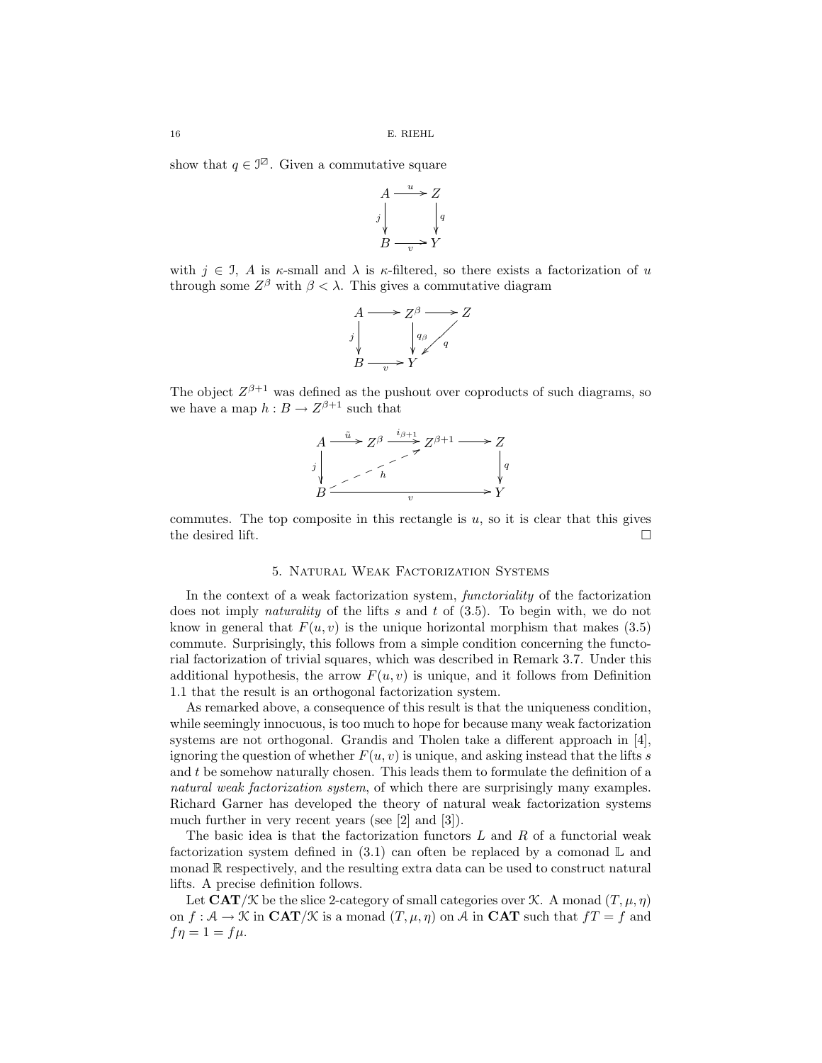show that  $q \in \mathcal{I}^{\mathbb{Z}}$ . Given a commutative square

$$
A \xrightarrow{u} Z
$$
  
\n
$$
j \qquad y
$$
  
\n
$$
B \xrightarrow{v} Y
$$

with  $j \in \mathcal{I}$ , A is  $\kappa$ -small and  $\lambda$  is  $\kappa$ -filtered, so there exists a factorization of u through some  $Z^{\beta}$  with  $\beta < \lambda$ . This gives a commutative diagram



The object  $Z^{\beta+1}$  was defined as the pushout over coproducts of such diagrams, so we have a map  $h: B \to Z^{\beta+1}$  such that



commutes. The top composite in this rectangle is  $u$ , so it is clear that this gives the desired lift.  $\Box$ 

# 5. Natural Weak Factorization Systems

In the context of a weak factorization system, functoriality of the factorization does not imply *naturality* of the lifts  $s$  and  $t$  of  $(3.5)$ . To begin with, we do not know in general that  $F(u, v)$  is the unique horizontal morphism that makes (3.5) commute. Surprisingly, this follows from a simple condition concerning the functorial factorization of trivial squares, which was described in Remark 3.7. Under this additional hypothesis, the arrow  $F(u, v)$  is unique, and it follows from Definition 1.1 that the result is an orthogonal factorization system.

As remarked above, a consequence of this result is that the uniqueness condition, while seemingly innocuous, is too much to hope for because many weak factorization systems are not orthogonal. Grandis and Tholen take a different approach in [4], ignoring the question of whether  $F(u, v)$  is unique, and asking instead that the lifts s and t be somehow naturally chosen. This leads them to formulate the definition of a natural weak factorization system, of which there are surprisingly many examples. Richard Garner has developed the theory of natural weak factorization systems much further in very recent years (see [2] and [3]).

The basic idea is that the factorization functors  $L$  and  $R$  of a functorial weak factorization system defined in  $(3.1)$  can often be replaced by a comonad  $\mathbb{L}$  and monad R respectively, and the resulting extra data can be used to construct natural lifts. A precise definition follows.

Let  $CAT/\mathcal{K}$  be the slice 2-category of small categories over  $\mathcal{K}$ . A monad  $(T, \mu, \eta)$ on  $f: \mathcal{A} \to \mathcal{K}$  in  $\mathbf{CAT}/\mathcal{K}$  is a monad  $(T, \mu, \eta)$  on  $\mathcal{A}$  in  $\mathbf{CAT}$  such that  $fT = f$  and  $f\eta = 1 = f\mu$ .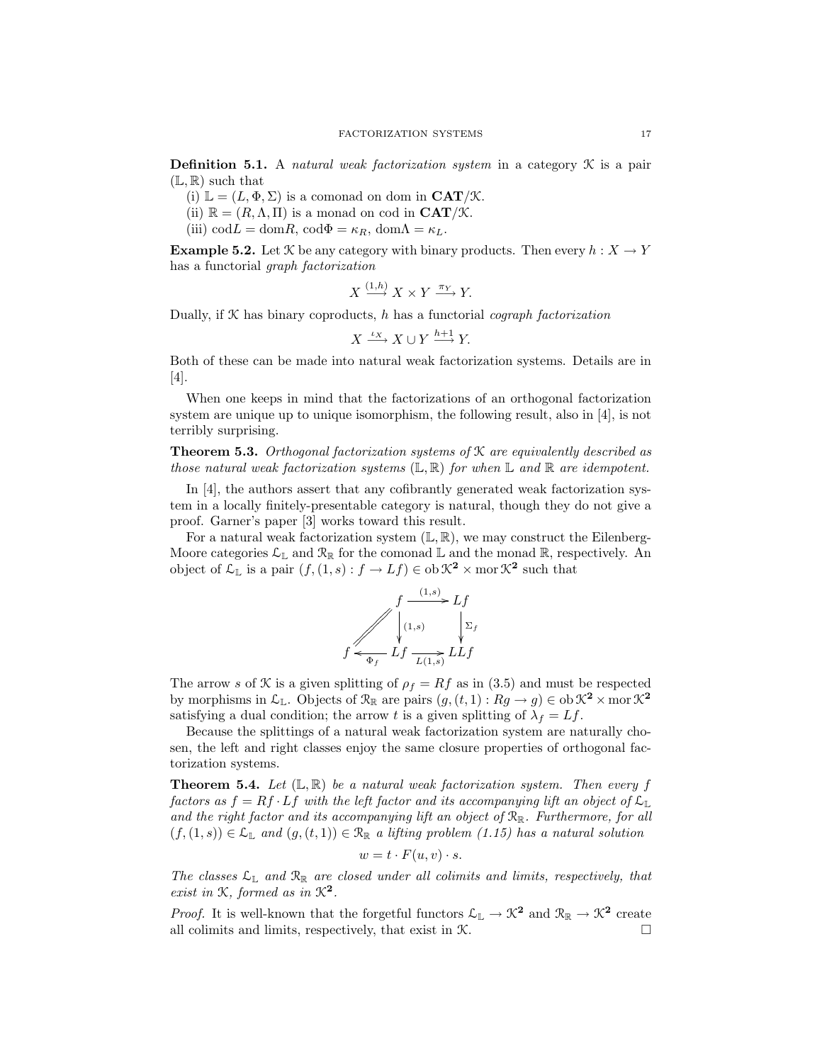**Definition 5.1.** A natural weak factorization system in a category  $\mathcal{K}$  is a pair  $(L, \mathbb{R})$  such that

- (i)  $\mathbb{L} = (L, \Phi, \Sigma)$  is a comonad on dom in  $\mathbf{CAT}/\mathcal{K}$ .
- (ii)  $\mathbb{R} = (R, \Lambda, \Pi)$  is a monad on cod in  $\mathbf{CAT}/\mathcal{K}$ .
- (iii) cod $L = \text{dom} R$ , cod $\Phi = \kappa_R$ , dom $\Lambda = \kappa_L$ .

**Example 5.2.** Let  $\mathcal{K}$  be any category with binary products. Then every  $h: X \to Y$ has a functorial graph factorization

$$
X \xrightarrow{(1,h)} X \times Y \xrightarrow{\pi_Y} Y.
$$

Dually, if  $K$  has binary coproducts, h has a functorial *cograph factorization* 

$$
X \xrightarrow{\iota_X} X \cup Y \xrightarrow{h+1} Y.
$$

Both of these can be made into natural weak factorization systems. Details are in [4].

When one keeps in mind that the factorizations of an orthogonal factorization system are unique up to unique isomorphism, the following result, also in [4], is not terribly surprising.

**Theorem 5.3.** Orthogonal factorization systems of  $\mathcal{K}$  are equivalently described as those natural weak factorization systems  $(\mathbb{L}, \mathbb{R})$  for when  $\mathbb{L}$  and  $\mathbb{R}$  are idempotent.

In [4], the authors assert that any cofibrantly generated weak factorization system in a locally finitely-presentable category is natural, though they do not give a proof. Garner's paper [3] works toward this result.

For a natural weak factorization system  $(\mathbb{L}, \mathbb{R})$ , we may construct the Eilenberg-Moore categories  $\mathcal{L}_L$  and  $\mathcal{R}_R$  for the comonad  $\mathbb L$  and the monad  $\mathbb R$ , respectively. An object of  $\mathcal{L}_{\mathbb{L}}$  is a pair  $(f, (1, s) : f \to Lf) \in ob \mathcal{K}^2 \times mor \mathcal{K}^2$  such that



The arrow s of K is a given splitting of  $\rho_f = Rf$  as in (3.5) and must be respected by morphisms in  $\mathcal{L}_\mathbb{L}$ . Objects of  $\mathcal{R}_\mathbb{R}$  are pairs  $(g,(t,1): Rg \to g) \in ob \mathcal{K}^2 \times mor \mathcal{K}^2$ satisfying a dual condition; the arrow t is a given splitting of  $\lambda_f = Lf$ .

Because the splittings of a natural weak factorization system are naturally chosen, the left and right classes enjoy the same closure properties of orthogonal factorization systems.

**Theorem 5.4.** Let  $(\mathbb{L}, \mathbb{R})$  be a natural weak factorization system. Then every f factors as  $f = Rf \cdot Lf$  with the left factor and its accompanying lift an object of  $\mathcal{L}_L$ and the right factor and its accompanying lift an object of  $\mathcal{R}_{\mathbb{R}}$ . Furthermore, for all  $(f,(1,s)) \in \mathcal{L}_{\mathbb{L}}$  and  $(g,(t,1)) \in \mathcal{R}_{\mathbb{R}}$  a lifting problem (1.15) has a natural solution

$$
w = t \cdot F(u, v) \cdot s.
$$

The classes  $\mathcal{L}_{\mathbb{L}}$  and  $\mathcal{R}_{\mathbb{R}}$  are closed under all colimits and limits, respectively, that exist in  $K$ , formed as in  $K^2$ .

*Proof.* It is well-known that the forgetful functors  $\mathcal{L}_{\mathbb{L}} \to \mathcal{K}^2$  and  $\mathcal{R}_{\mathbb{R}} \to \mathcal{K}^2$  create all colimits and limits, respectively, that exist in  $\mathcal{K}$ .